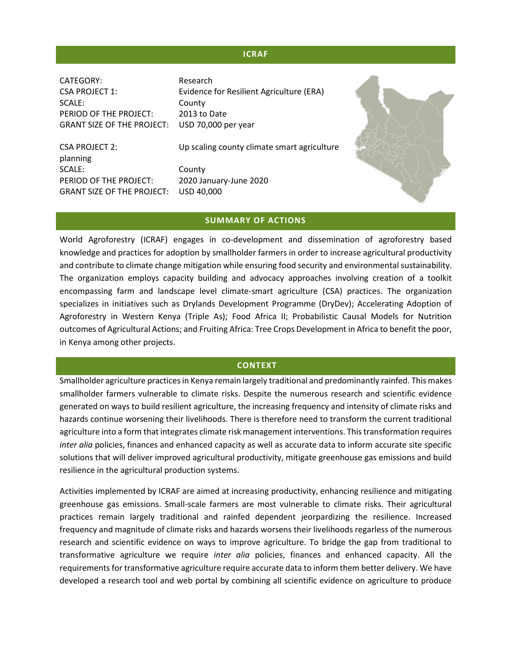## **ICRAF**

CATEGORY: Research CSA PROJECT 1: Evidence for Resilient Agriculture (ERA) SCALE: County PERIOD OF THE PROJECT: 2013 to Date

GRANT SIZE OF THE PROJECT: USD 70,000 per year CSA PROJECT 2: Up scaling county climate smart agriculture

planning SCALE: County PERIOD OF THE PROJECT: 2020 January-June 2020 GRANT SIZE OF THE PROJECT: USD 40,000



#### **SUMMARY OF ACTIONS**

World Agroforestry (ICRAF) engages in co-development and dissemination of agroforestry based knowledge and practices for adoption by smallholder farmers in order to increase agricultural productivity and contribute to climate change mitigation while ensuring food security and environmental sustainability. The organization employs capacity building and advocacy approaches involving creation of a toolkit encompassing farm and landscape level climate-smart agriculture (CSA) practices. The organization specializes in initiatives such as Drylands Development Programme (DryDev); Accelerating Adoption of Agroforestry in Western Kenya (Triple As); Food Africa II; Probabilistic Causal Models for Nutrition outcomes of Agricultural Actions; and Fruiting Africa: Tree Crops Development in Africa to benefit the poor, in Kenya among other projects.

#### **CONTEXT**

Smallholder agriculture practices in Kenya remain largely traditional and predominantly rainfed. This makes smallholder farmers vulnerable to climate risks. Despite the numerous research and scientific evidence generated on ways to build resilient agriculture, the increasing frequency and intensity of climate risks and hazards continue worsening their livelihoods. There is therefore need to transform the current traditional agriculture into a form that integrates climate risk management interventions. This transformation requires *inter alia* policies, finances and enhanced capacity as well as accurate data to inform accurate site specific solutions that will deliver improved agricultural productivity, mitigate greenhouse gas emissions and build resilience in the agricultural production systems.

Activities implemented by ICRAF are aimed at increasing productivity, enhancing resilience and mitigating greenhouse gas emissions. Small-scale farmers are most vulnerable to climate risks. Their agricultural practices remain largely traditional and rainfed dependent jeorpardizing the resilience. Increased frequency and magnitude of climate risks and hazards worsens their livelihoods regarless of the numerous research and scientific evidence on ways to improve agriculture. To bridge the gap from traditional to transformative agriculture we require *inter alia* policies, finances and enhanced capacity. All the requirements for transformative agriculture require accurate data to inform them better delivery. We have developed a research tool and web portal by combining all scientific evidence on agriculture to produce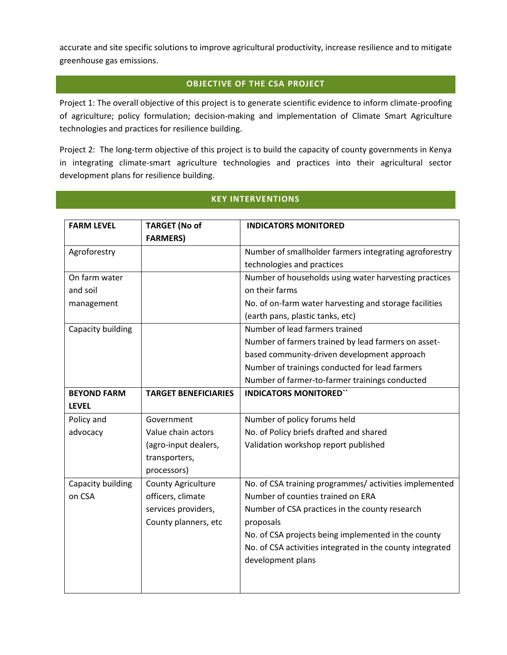accurate and site specific solutions to improve agricultural productivity, increase resilience and to mitigate greenhouse gas emissions.

# **OBJECTIVE OF THE CSA PROJECT**

Project 1: The overall objective of this project is to generate scientific evidence to inform climate-proofing of agriculture; policy formulation; decision-making and implementation of Climate Smart Agriculture technologies and practices for resilience building.

Project 2: The long-term objective of this project is to build the capacity of county governments in Kenya in integrating climate-smart agriculture technologies and practices into their agricultural sector development plans for resilience building.

## **KEY INTERVENTIONS**

| <b>FARM LEVEL</b>  | <b>TARGET (No of</b>        | <b>INDICATORS MONITORED</b>                               |
|--------------------|-----------------------------|-----------------------------------------------------------|
|                    | <b>FARMERS)</b>             |                                                           |
| Agroforestry       |                             | Number of smallholder farmers integrating agroforestry    |
|                    |                             | technologies and practices                                |
| On farm water      |                             | Number of households using water harvesting practices     |
| and soil           |                             | on their farms                                            |
| management         |                             | No. of on-farm water harvesting and storage facilities    |
|                    |                             | (earth pans, plastic tanks, etc)                          |
| Capacity building  |                             | Number of lead farmers trained                            |
|                    |                             | Number of farmers trained by lead farmers on asset-       |
|                    |                             | based community-driven development approach               |
|                    |                             | Number of trainings conducted for lead farmers            |
|                    |                             | Number of farmer-to-farmer trainings conducted            |
| <b>BEYOND FARM</b> | <b>TARGET BENEFICIARIES</b> | <b>INDICATORS MONITORED"</b>                              |
| <b>LEVEL</b>       |                             |                                                           |
| Policy and         | Government                  | Number of policy forums held                              |
| advocacy           | Value chain actors          | No. of Policy briefs drafted and shared                   |
|                    | (agro-input dealers,        | Validation workshop report published                      |
|                    | transporters,               |                                                           |
|                    | processors)                 |                                                           |
| Capacity building  | <b>County Agriculture</b>   | No. of CSA training programmes/activities implemented     |
| on CSA             | officers, climate           | Number of counties trained on ERA                         |
|                    | services providers,         | Number of CSA practices in the county research            |
|                    | County planners, etc        | proposals                                                 |
|                    |                             | No. of CSA projects being implemented in the county       |
|                    |                             | No. of CSA activities integrated in the county integrated |
|                    |                             | development plans                                         |
|                    |                             |                                                           |
|                    |                             |                                                           |